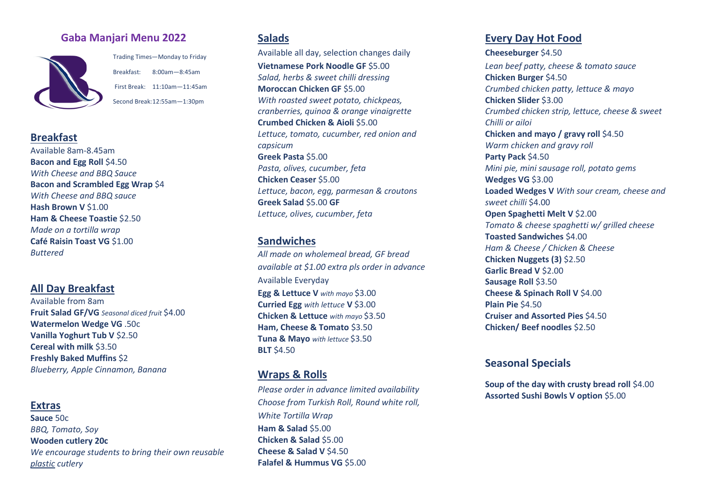## **Gaba Manjari Menu 2022**



Trading Times—Monday to Friday Breakfast: 8:00am—8:45am First Break: 11:10am—11:45am Second Break:12:55am—1:30pm

#### **Breakfast**

Available 8am-8.45am **Bacon and Egg Roll** \$4.50 *With Cheese and BBQ Sauce* **Bacon and Scrambled Egg Wrap** \$4 *With Cheese and BBQ sauce* **Hash Brown V** \$1.00 **Ham & Cheese Toastie** \$2.50 *Made on a tortilla wrap* **Café Raisin Toast VG** \$1.00 *Buttered*

## **All Day Breakfast**

Available from 8am **Fruit Salad GF/VG** *Seasonal diced fruit* \$4.00 **Watermelon Wedge VG** .50c **Vanilla Yoghurt Tub V** \$2.50 **Cereal with milk** \$3.50 **Freshly Baked Muffins** \$2 *Blueberry, Apple Cinnamon, Banana*

#### **Extras**

**Sauce** 50c *BBQ, Tomato, Soy* **Wooden cutlery 20c** *We encourage students to bring their own reusable plastic cutlery*

### **Salads**

Available all day, selection changes daily **Vietnamese Pork Noodle GF** \$5.00 *Salad, herbs & sweet chilli dressing* **Moroccan Chicken GF** \$5.00 *With roasted sweet potato, chickpeas, cranberries, quinoa & orange vinaigrette* **Crumbed Chicken & Aioli** \$5.00 *Lettuce, tomato, cucumber, red onion and capsicum* **Greek Pasta** \$5.00 *Pasta, olives, cucumber, feta* **Chicken Ceaser** \$5.00 *Lettuce, bacon, egg, parmesan & croutons* **Greek Salad** \$5.00 **GF** *Lettuce, olives, cucumber, feta*

## **Sandwiches**

*All made on wholemeal bread, GF bread available at \$1.00 extra pls order in advance* Available Everyday **Egg & Lettuce V** *with mayo* \$3.00 **Curried Egg** *with lettuce* **V** \$3.00 **Chicken & Lettuce** *with mayo* \$3.50 **Ham, Cheese & Tomato** \$3.50 **Tuna & Mayo** *with lettuce* \$3.50 **BLT** \$4.50

## **Wraps & Rolls**

*Please order in advance limited availability Choose from Turkish Roll, Round white roll, White Tortilla Wrap* **Ham & Salad** \$5.00 **Chicken & Salad** \$5.00 **Cheese & Salad V** \$4.50 **Falafel & Hummus VG** \$5.00

## **Every Day Hot Food**

**Cheeseburger** \$4.50 *Lean beef patty, cheese & tomato sauce* **Chicken Burger** \$4.50 *Crumbed chicken patty, lettuce & mayo* **Chicken Slider** \$3.00 *Crumbed chicken strip, lettuce, cheese & sweet Chilli or ailoi* **Chicken and mayo / gravy roll** \$4.50 *Warm chicken and gravy roll* **Party Pack** \$4.50 *Mini pie, mini sausage roll, potato gems*  **Wedges VG** \$3.00 **Loaded Wedges V** *With sour cream, cheese and sweet chilli* \$4.00 **Open Spaghetti Melt V** \$2.00 *Tomato & cheese spaghetti w/ grilled cheese* **Toasted Sandwiches** \$4.00 *Ham & Cheese / Chicken & Cheese* **Chicken Nuggets (3)** \$2.50 **Garlic Bread V** \$2.00 **Sausage Roll** \$3.50 **Cheese & Spinach Roll V** \$4.00 **Plain Pie** \$4.50 **Cruiser and Assorted Pies** \$4.50 **Chicken/ Beef noodles** \$2.50

## **Seasonal Specials**

**Soup of the day with crusty bread roll** \$4.00 **Assorted Sushi Bowls V option** \$5.00